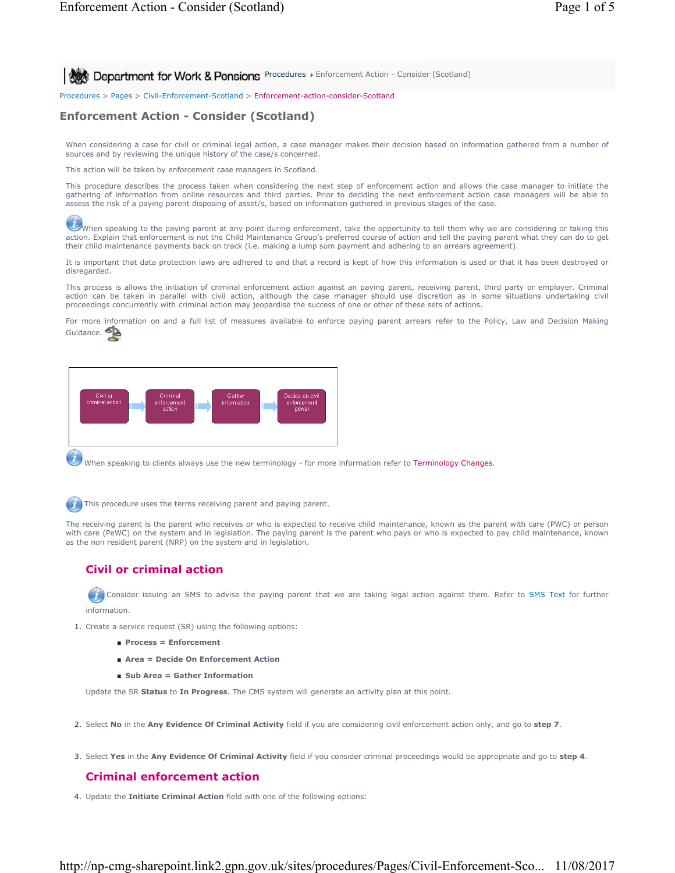**Procedures > Enforcement Action - Consider (Scotland) Procedures > Enforcement Action - Consider (Scotland)** 

Procedures > Pages > Civil-Enforcement-Scotland > Enforcement-action-consider-Scotland

# **Enforcement Action - Consider (Scotland)**

When considering a case for civil or criminal legal action, a case manager makes their decision based on information gathered from a number of sources and by reviewing the unique history of the case/s concerned.

This action will be taken by enforcement case managers in Scotland.

This procedure describes the process taken when considering the next step of enforcement action and allows the case manager to initiate the gathering of information from online resources and third parties. Prior to deciding the next enforcement action case managers will be able to assess the risk of a paying parent disposing of asset/s, based on information gathered in previous stages of the case.

When speaking to the paying parent at any point during enforcement, take the opportunity to tell them why we are considering or taking this action. Explain that enforcement is not the Child Maintenance Group's preferred co their child maintenance payments back on track (i.e. making a lump sum payment and adhering to an arrears agreement).

It is important that data protection laws are adhered to and that a record is kept of how this information is used or that it has been destroyed or disregarded.

This process is allows the initiation of criminal enforcement action against an paying parent, receiving parent, third party or employer. Criminal action can be taken in parallel with civil action, although the case manager should use discretion as in some situations undertaking civil proceedings concurrently with criminal action may jeopardise the success of one or other of these sets of actions.

For more information on and a full list of measures available to enforce paying parent arrears refer to the Policy, Law and Decision Making Guidance.



When speaking to clients always use the new terminology - for more information refer to Terminology Changes.



The receiving parent is the parent who receives or who is expected to receive child maintenance, known as the parent with care (PWC) or person<br>with care (PeWC) on the system and in legislation. The paying parent is the par as the non resident parent (NRP) on the system and in legislation.

# **Civil or criminal action**

Consider issuing an SMS to advise the paying parent that we are taking legal action against them. Refer to SMS Text for further information.

1. Create a service request (SR) using the following options:

- **Process = Enforcement**
- **Area = Decide On Enforcement Action**
- Sub Area = Gather Information

Update the SR **Status** to **In Progress**. The CMS system will generate an activity plan at this point.

- 2. Select **No** in the **Any Evidence Of Criminal Activity** field if you are considering civil enforcement action only, and go to **step 7**.
- 3. Select **Yes** in the **Any Evidence Of Criminal Activity** field if you consider criminal proceedings would be appropriate and go to **step 4**.

# **Criminal enforcement action**

4. Update the **Initiate Criminal Action** field with one of the following options: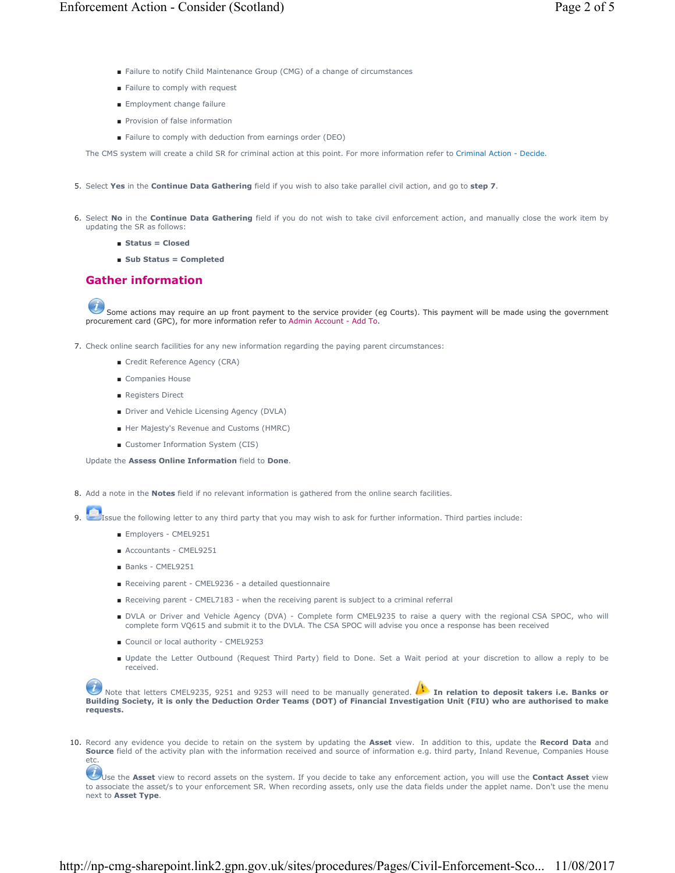- Failure to notify Child Maintenance Group (CMG) of a change of circumstances
- Failure to comply with request
- Employment change failure
- Provision of false information
- Failure to comply with deduction from earnings order (DEO)

The CMS system will create a child SR for criminal action at this point. For more information refer to Criminal Action - Decide.

- 5. Select **Yes** in the **Continue Data Gathering** field if you wish to also take parallel civil action, and go to **step 7**.
- 6. Select No in the Continue Data Gathering field if you do not wish to take civil enforcement action, and manually close the work item by updating the SR as follows:
	- **Status = Closed**
	- **Sub Status = Completed**

# **Gather information**

Some actions may require an up front payment to the service provider (eg Courts). This payment will be made using the government procurement card (GPC), for more information refer to Admin Account - Add To.

- 7. Check online search facilities for any new information regarding the paying parent circumstances:
	- Credit Reference Agency (CRA)
	- Companies House
	- Registers Direct
	- Driver and Vehicle Licensing Agency (DVLA)
	- Her Majesty's Revenue and Customs (HMRC)
	- Customer Information System (CIS)

Update the **Assess Online Information** field to **Done**.

8. Add a note in the **Notes** field if no relevant information is gathered from the online search facilities.

- Issue the following letter to any third party that you may wish to ask for further information. Third parties include:
	- Employers CMEL9251
	- Accountants CMEL9251
	- Banks CMEL9251
	- Receiving parent CMEL9236 a detailed questionnaire
	- Receiving parent CMEL7183 when the receiving parent is subject to a criminal referral
	- DVLA or Driver and Vehicle Agency (DVA) Complete form CMEL9235 to raise a query with the regional CSA SPOC, who will complete form VQ615 and submit it to the DVLA. The CSA SPOC will advise you once a response has been received
	- Council or local authority CMEL9253
	- Update the Letter Outbound (Request Third Party) field to Done. Set a Wait period at your discretion to allow a reply to be received.

Note that letters CMEL9235, 9251 and 9253 will need to be manually generated. **In relation to deposit takers i.e. Banks or Building Society, it is only the Deduction Order Teams (DOT) of Financial Investigation Unit (FIU) who are authorised to make requests.**

10. Record any evidence you decide to retain on the system by updating the **Asset** view. In addition to this, update the Record Data and Source field of the activity plan with the information received and source of information e.g. third party, Inland Revenue, Companies House etc.

Use the Asset view to record assets on the system. If you decide to take any enforcement action, you will use the Contact Asset view to associate the asset/s to your enforcement SR. When recording assets, only use the data fields under the applet name. Don't use the menu next to **Asset Type**.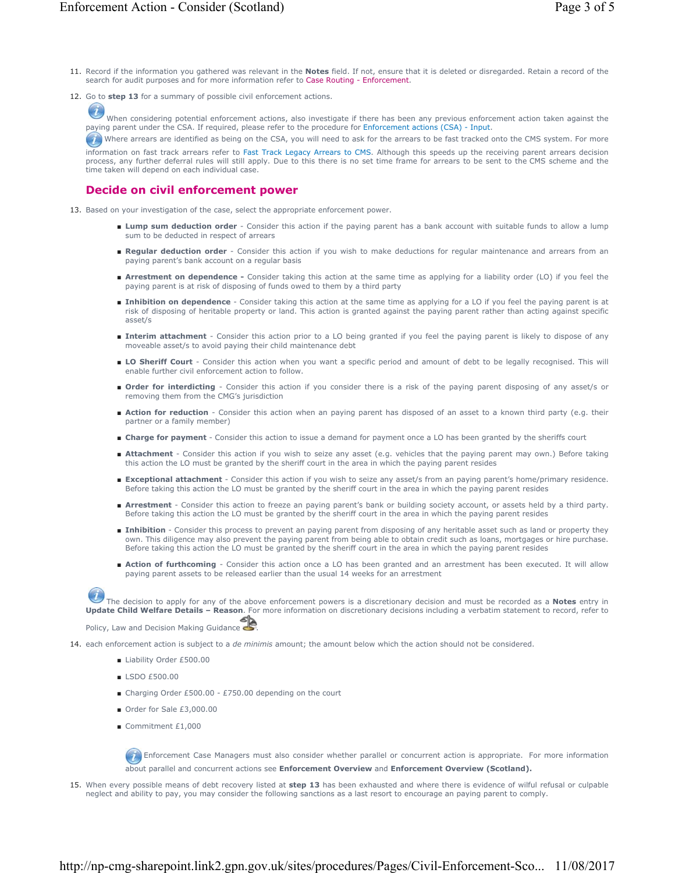12. Go to step 13 for a summary of possible civil enforcement actions.

When considering potential enforcement actions, also investigate if there has been any previous enforcement action taken against the paying parent under the CSA. If required, please refer to the procedure for Enforcement actions (CSA) - Input.

Where arrears are identified as being on the CSA, you will need to ask for the arrears to be fast tracked onto the CMS system. For more information on fast track arrears refer to Fast Track Legacy Arrears to CMS. Although this speeds up the receiving parent arrears decision process, any further deferral rules will still apply. Due to this there is no set time frame for arrears to be sent to the CMS scheme and the time taken will depend on each individual case.

## **Decide on civil enforcement power**

- 13. Based on your investigation of the case, select the appropriate enforcement power.
	- Lump sum deduction order Consider this action if the paying parent has a bank account with suitable funds to allow a lump sum to be deducted in respect of arrears
	- Regular deduction order Consider this action if you wish to make deductions for regular maintenance and arrears from an paying parent's bank account on a regular basis
	- Arrestment on dependence Consider taking this action at the same time as applying for a liability order (LO) if you feel the paying parent is at risk of disposing of funds owed to them by a third party
	- Inhibition on dependence Consider taking this action at the same time as applying for a LO if you feel the paying parent is at risk of disposing of heritable property or land. This action is granted against the paying parent rather than acting against specific asset/s
	- Interim attachment Consider this action prior to a LO being granted if you feel the paying parent is likely to dispose of any moveable asset/s to avoid paying their child maintenance debt
	- LO Sheriff Court Consider this action when you want a specific period and amount of debt to be legally recognised. This will enable further civil enforcement action to follow.
	- Order for interdicting Consider this action if you consider there is a risk of the paying parent disposing of any asset/s or removing them from the CMG's jurisdiction
	- Action for reduction Consider this action when an paying parent has disposed of an asset to a known third party (e.g. their partner or a family member)
	- **Charge for payment** Consider this action to issue a demand for payment once a LO has been granted by the sheriffs court
	- Attachment Consider this action if you wish to seize any asset (e.g. vehicles that the paying parent may own.) Before taking this action the LO must be granted by the sheriff court in the area in which the paying parent resides
	- **Exceptional attachment** Consider this action if you wish to seize any asset/s from an paying parent's home/primary residence. Before taking this action the LO must be granted by the sheriff court in the area in which the paying parent resides
	- Arrestment Consider this action to freeze an paying parent's bank or building society account, or assets held by a third party. Before taking this action the LO must be granted by the sheriff court in the area in which the paying parent resides
	- Inhibition Consider this process to prevent an paying parent from disposing of any heritable asset such as land or property they own. This diligence may also prevent the paying parent from being able to obtain credit such as loans, mortgages or hire purchase. Before taking this action the LO must be granted by the sheriff court in the area in which the paying parent resides
	- Action of furthcoming Consider this action once a LO has been granted and an arrestment has been executed. It will allow paying parent assets to be released earlier than the usual 14 weeks for an arrestment

The decision to apply for any of the above enforcement powers is a discretionary decision and must be recorded as a **Notes** entry in **Update Child Welfare Details – Reason**. For more information on discretionary decisions including a verbatim statement to record, refer to ๘

Policy, Law and Decision Making Guidance

14. each enforcement action is subject to a *de minimis* amount; the amount below which the action should not be considered.

- Liability Order £500.00
- LSDO £500.00
- Charging Order £500.00 £750.00 depending on the court
- Order for Sale £3,000.00
- Commitment £1,000

**Enforcement Case Managers must also consider whether parallel or concurrent action is appropriate. For more information** about parallel and concurrent actions see **Enforcement Overview** and **Enforcement Overview (Scotland).**

15. When every possible means of debt recovery listed at step 13 has been exhausted and where there is evidence of wilful refusal or culpable neglect and ability to pay, you may consider the following sanctions as a last resort to encourage an paying parent to comply.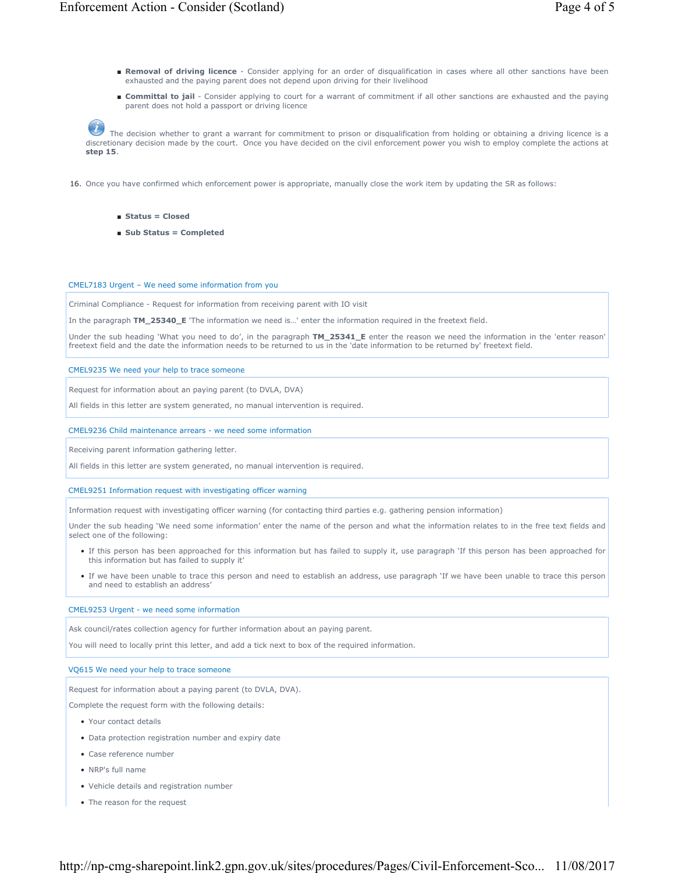- Removal of driving licence Consider applying for an order of disqualification in cases where all other sanctions have been exhausted and the paying parent does not depend upon driving for their livelihood
- **Committal to jail** Consider applying to court for a warrant of commitment if all other sanctions are exhausted and the paying parent does not hold a passport or driving licence

The decision whether to grant a warrant for commitment to prison or disqualification from holding or obtaining a driving licence is a discretionary decision made by the court. Once you have decided on the civil enforcement power you wish to employ complete the actions at **step 15**.

16. Once you have confirmed which enforcement power is appropriate, manually close the work item by updating the SR as follows:

- **Status = Closed**
- **Sub Status = Completed**

#### CMEL7183 Urgent – We need some information from you

Criminal Compliance - Request for information from receiving parent with IO visit

In the paragraph **TM\_25340\_E** 'The information we need is…' enter the information required in the freetext field.

Under the sub heading 'What you need to do', in the paragraph **TM\_25341\_E** enter the reason we need the information in the 'enter reason' freetext field and the date the information needs to be returned to us in the 'date information to be returned by' freetext field.

CMEL9235 We need your help to trace someone

Request for information about an paying parent (to DVLA, DVA)

All fields in this letter are system generated, no manual intervention is required.

### CMEL9236 Child maintenance arrears - we need some information

Receiving parent information gathering letter.

All fields in this letter are system generated, no manual intervention is required.

#### CMEL9251 Information request with investigating officer warning

Information request with investigating officer warning (for contacting third parties e.g. gathering pension information)

Under the sub heading 'We need some information' enter the name of the person and what the information relates to in the free text fields and select one of the following:

- If this person has been approached for this information but has failed to supply it, use paragraph 'If this person has been approached for this information but has failed to supply it'
- If we have been unable to trace this person and need to establish an address, use paragraph 'If we have been unable to trace this person and need to establish an address'

### CMEL9253 Urgent - we need some information

Ask council/rates collection agency for further information about an paying parent.

You will need to locally print this letter, and add a tick next to box of the required information.

### VQ615 We need your help to trace someone

Request for information about a paying parent (to DVLA, DVA).

Complete the request form with the following details:

- Your contact details
- Data protection registration number and expiry date
- Case reference number
- NRP's full name
- Vehicle details and registration number
- The reason for the request